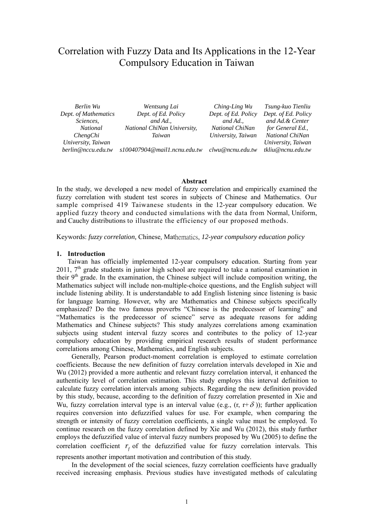# Correlation with Fuzzy Data and Its Applications in the 12-Year Compulsory Education in Taiwan

| Berlin Wu            | Wentsung Lai                    | Ching-Ling Wu       | Tsung-kuo Tienliu   |
|----------------------|---------------------------------|---------------------|---------------------|
| Dept. of Mathematics | Dept. of Ed. Policy             | Dept. of Ed. Policy | Dept. of Ed. Policy |
| Sciences,            | and Ad.,                        | and Ad.,            | and Ad. & Center    |
| <i>National</i>      | National ChiNan University,     | National ChiNan     | for General Ed.,    |
| ChengChi             | Taiwan                          | University, Taiwan  | National ChiNan     |
| University, Taiwan   |                                 |                     | University, Taiwan  |
| berlin@nccu.edu.tw   | $s100407904$ @mail1.ncnu.edu.tw | clwu@ncnu.edu.tw    | tkliu@ncnu.edu.tw   |

#### **Abstract**

In the study, we developed a new model of fuzzy correlation and empirically examined the fuzzy correlation with student test scores in subjects of Chinese and Mathematics. Our sample comprised 419 Taiwanese students in the 12-year compulsory education. We applied fuzzy theory and conducted simulations with the data from Normal, Uniform, and Cauchy distributions to illustrate the efficiency of our proposed methods.

Keywords: *fuzzy correlation,* Chinese, Mathematics, *12-year compulsory education policy*

#### **1. Introduction**

Taiwan has officially implemented 12-year compulsory education. Starting from year  $2011$ ,  $7<sup>th</sup>$  grade students in junior high school are required to take a national examination in their  $9<sup>th</sup>$  grade. In the examination, the Chinese subject will include composition writing, the Mathematics subject will include non-multiple-choice questions, and the English subject will include listening ability. It is understandable to add English listening since listening is basic for language learning. However, why are Mathematics and Chinese subjects specifically emphasized? Do the two famous proverbs "Chinese is the predecessor of learning" and "Mathematics is the predecessor of science" serve as adequate reasons for adding Mathematics and Chinese subjects? This study analyzes correlations among examination subjects using student interval fuzzy scores and contributes to the policy of 12-year compulsory education by providing empirical research results of student performance correlations among Chinese, Mathematics, and English subjects.

Generally, Pearson product-moment correlation is employed to estimate correlation coefficients. Because the new definition of fuzzy correlation intervals developed in Xie and Wu (2012) provided a more authentic and relevant fuzzy correlation interval, it enhanced the authenticity level of correlation estimation. This study employs this interval definition to calculate fuzzy correlation intervals among subjects. Regarding the new definition provided by this study, because, according to the definition of fuzzy correlation presented in Xie and Wu, fuzzy correlation interval type is an interval value (e.g.,  $(r, r+\delta)$ ); further application requires conversion into defuzzified values for use. For example, when comparing the strength or intensity of fuzzy correlation coefficients, a single value must be employed. To continue research on the fuzzy correlation defined by Xie and Wu (2012), this study further employs the defuzzified value of interval fuzzy numbers proposed by Wu (2005) to define the correlation coefficient  $r_f$  of the defuzzified value for fuzzy correlation intervals. This represents another important motivation and contribution of this study.

In the development of the social sciences, fuzzy correlation coefficients have gradually received increasing emphasis. Previous studies have investigated methods of calculating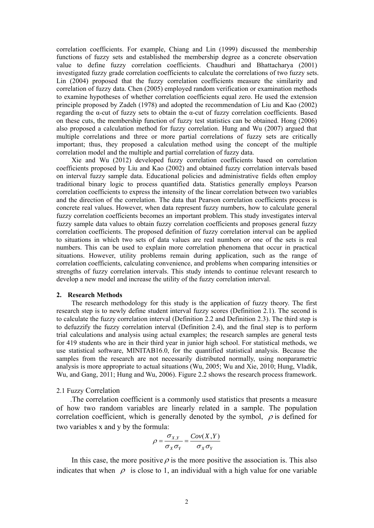correlation coefficients. For example, Chiang and Lin (1999) discussed the membership functions of fuzzy sets and established the membership degree as a concrete observation value to define fuzzy correlation coefficients. Chaudhuri and Bhattacharya (2001) investigated fuzzy grade correlation coefficients to calculate the correlations of two fuzzy sets. Lin (2004) proposed that the fuzzy correlation coefficients measure the similarity and correlation of fuzzy data. Chen (2005) employed random verification or examination methods to examine hypotheses of whether correlation coefficients equal zero. He used the extension principle proposed by Zadeh (1978) and adopted the recommendation of Liu and Kao (2002) regarding the α-cut of fuzzy sets to obtain the α-cut of fuzzy correlation coefficients. Based on these cuts, the membership function of fuzzy test statistics can be obtained. Hong (2006) also proposed a calculation method for fuzzy correlation. Hung and Wu (2007) argued that multiple correlations and three or more partial correlations of fuzzy sets are critically important; thus, they proposed a calculation method using the concept of the multiple correlation model and the multiple and partial correlation of fuzzy data.

Xie and Wu (2012) developed fuzzy correlation coefficients based on correlation coefficients proposed by Liu and Kao (2002) and obtained fuzzy correlation intervals based on interval fuzzy sample data. Educational policies and administrative fields often employ traditional binary logic to process quantified data. Statistics generally employs Pearson correlation coefficients to express the intensity of the linear correlation between two variables and the direction of the correlation. The data that Pearson correlation coefficients process is concrete real values. However, when data represent fuzzy numbers, how to calculate general fuzzy correlation coefficients becomes an important problem. This study investigates interval fuzzy sample data values to obtain fuzzy correlation coefficients and proposes general fuzzy correlation coefficients. The proposed definition of fuzzy correlation interval can be applied to situations in which two sets of data values are real numbers or one of the sets is real numbers. This can be used to explain more correlation phenomena that occur in practical situations. However, utility problems remain during application, such as the range of correlation coefficients, calculating convenience, and problems when comparing intensities or strengths of fuzzy correlation intervals. This study intends to continue relevant research to develop a new model and increase the utility of the fuzzy correlation interval.

#### **2. Research Methods**

The research methodology for this study is the application of fuzzy theory. The first research step is to newly define student interval fuzzy scores (Definition 2.1). The second is to calculate the fuzzy correlation interval (Definition 2.2 and Definition 2.3). The third step is to defuzzify the fuzzy correlation interval (Definition 2.4), and the final step is to perform trial calculations and analysis using actual examples; the research samples are general tests for 419 students who are in their third year in junior high school. For statistical methods, we use statistical software, MINITAB16.0, for the quantified statistical analysis. Because the samples from the research are not necessarily distributed normally, using nonparametric analysis is more appropriate to actual situations (Wu, 2005; Wu and Xie, 2010; Hung, Vladik, Wu, and Gang, 2011; Hung and Wu, 2006). Figure 2.2 shows the research process framework.

#### 2.1 Fuzzy Correlation

.The correlation coefficient is a commonly used statistics that presents a measure of how two random variables are linearly related in a sample. The population correlation coefficient, which is generally denoted by the symbol,  $\rho$  is defined for two variables x and y by the formula:

$$
\rho = \frac{\sigma_{X,Y}}{\sigma_X \sigma_Y} = \frac{Cov(X,Y)}{\sigma_X \sigma_Y}
$$

In this case, the more positive  $\rho$  is the more positive the association is. This also indicates that when  $\varphi$  is close to 1, an individual with a high value for one variable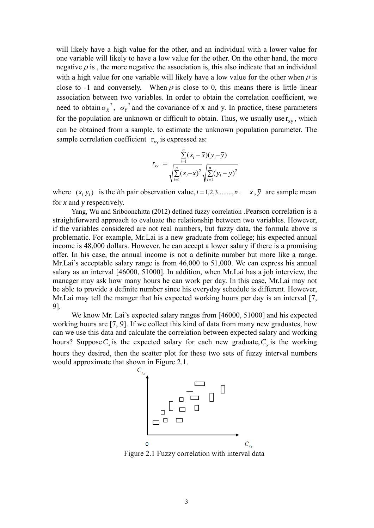will likely have a high value for the other, and an individual with a lower value for one variable will likely to have a low value for the other. On the other hand, the more negative  $\rho$  is, the more negative the association is, this also indicate that an individual with a high value for one variable will likely have a low value for the other when  $\rho$  is close to -1 and conversely. When  $\rho$  is close to 0, this means there is little linear association between two variables. In order to obtain the correlation coefficient, we need to obtain  $\sigma_X^2$ ,  $\sigma_Y^2$  and the covariance of x and y. In practice, these parameters for the population are unknown or difficult to obtain. Thus, we usually use  $r_{xy}$ , which can be obtained from a sample, to estimate the unknown population parameter. The sample correlation coefficient  $r_{xy}$  is expressed as:

$$
r_{xy} = \frac{\sum_{i=1}^{n} (x_i - \overline{x})(y_i - \overline{y})}{\sqrt{\sum_{i=1}^{n} (x_i - \overline{x})^2} \sqrt{\sum_{i=1}^{n} (y_i - \overline{y})^2}}
$$

where  $(x_i, y_i)$  is the *i*th pair observation value,  $i = 1, 2, 3, \dots, n$ .  $\bar{x}, \bar{y}$  are sample mean for *x* and *y* respectively.

Yang, Wu and Sriboonchitta (2012) defined fuzzy correlation .Pearson correlation is a straightforward approach to evaluate the relationship between two variables. However, if the variables considered are not real numbers, but fuzzy data, the formula above is problematic. For example, Mr.Lai is a new graduate from college; his expected annual income is 48,000 dollars. However, he can accept a lower salary if there is a promising offer. In his case, the annual income is not a definite number but more like a range. Mr.Lai's acceptable salary range is from 46,000 to 51,000. We can express his annual salary as an interval [46000, 51000]. In addition, when Mr.Lai has a job interview, the manager may ask how many hours he can work per day. In this case, Mr.Lai may not be able to provide a definite number since his everyday schedule is different. However, Mr. Lai may tell the manger that his expected working hours per day is an interval [7, 9].

We know Mr. Lai's expected salary ranges from [46000, 51000] and his expected working hours are [7, 9]. If we collect this kind of data from many new graduates, how can we use this data and calculate the correlation between expected salary and working hours? Suppose  $C_x$  is the expected salary for each new graduate,  $C_y$  is the working hours they desired, then the scatter plot for these two sets of fuzzy interval numbers would approximate that shown in Figure 2.1.



Figure 2.1 Fuzzy correlation with interval data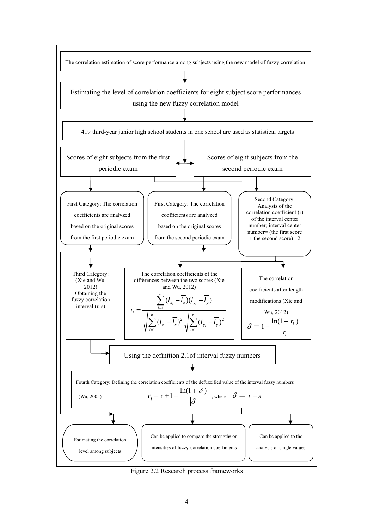

Figure 2.2 Research process frameworks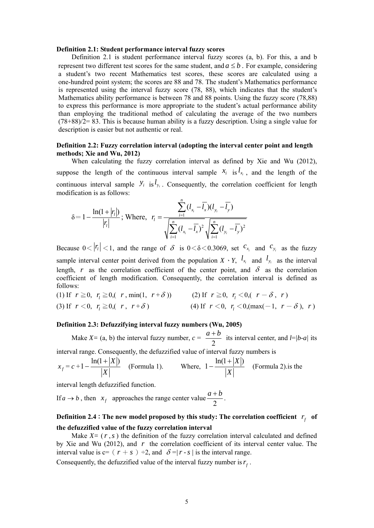#### **Definition 2.1: Student performance interval fuzzy scores**

Definition 2.1 is student performance interval fuzzy scores (a, b). For this, a and b represent two different test scores for the same student, and  $a \leq b$ . For example, considering a student's two recent Mathematics test scores, these scores are calculated using a one-hundred point system; the scores are 88 and 78. The student's Mathematics performance is represented using the interval fuzzy score (78, 88), which indicates that the student's Mathematics ability performance is between 78 and 88 points. Using the fuzzy score (78,88) to express this performance is more appropriate to the student's actual performance ability than employing the traditional method of calculating the average of the two numbers (78+88)/2= 83. This is because human ability is a fuzzy description. Using a single value for description is easier but not authentic or real.

## **Definition 2.2: Fuzzy correlation interval (adopting the interval center point and length methods; Xie and Wu, 2012)**

When calculating the fuzzy correlation interval as defined by Xie and Wu (2012), suppose the length of the continuous interval sample  $x_i$  is  $l_{x_i}$ , and the length of the continuous interval sample  $y_i$  is  $l_{y_i}$ . Consequently, the correlation coefficient for length modification is as follows:

$$
\delta = 1 - \frac{\ln(1+|r_i|)}{|r_i|}; \text{ Where}, r_i = \frac{\sum_{i=1}^{n} (l_{x_i} - \overline{l_x})(l_{y_i} - \overline{l_y})}{\sqrt{\sum_{i=1}^{n} (l_{x_i} - \overline{l_x})^2} \sqrt{\sum_{i=1}^{n} (l_{y_i} - \overline{l_y})^2}}
$$

Because  $0 < |r_1| < 1$ , and the range of  $\delta$  is  $0 < \delta < 0.3069$ , set  $c_{x_i}$  and  $c_{y_i}$  as the fuzzy sample interval center point derived from the population  $X \cdot Y$ ,  $l_{x_i}$  and  $l_{y_i}$  as the interval length, *r* as the correlation coefficient of the center point, and  $\delta$  as the correlation coefficient of length modification. Consequently, the correlation interval is defined as follows:

(1) If 
$$
r \ge 0
$$
,  $r_i \ge 0$ ,  $r$ , min(1,  $r + \delta$ ))  
\n(2) If  $r \ge 0$ ,  $r_i < 0$ ,  $r - \delta$ ,  $r$ )  
\n(3) If  $r < 0$ ,  $r_i \ge 0$ ,  $r, r + \delta$ )  
\n(4) If  $r < 0$ ,  $r_i < 0$ , (max(-1,  $r - \delta$ ),  $r$ )

### **Definition 2.3: Defuzzifying interval fuzzy numbers (Wu, 2005)**

Make  $X = (a, b)$  the interval fuzzy number,  $c =$ 2  $\frac{a+b}{2}$  its interval center, and *l*=*|b-a|* its

interval range. Consequently, the defuzzified value of interval fuzzy numbers is

$$
x_f = c + 1 - \frac{\ln(1+|X|)}{|X|}
$$
 (Formula 1). Where,  $1 - \frac{\ln(1+|X|)}{|X|}$  (Formula 2). is the

interval length defuzzified function.

If  $a \to b$ , then  $x_f$  approaches the range center value  $\frac{a+b}{2}$ .

## **Definition 2.4**: The new model proposed by this study: The correlation coefficient  $r_f$  of **the defuzzified value of the fuzzy correlation interval**

Make  $X = (r, s)$  the definition of the fuzzy correlation interval calculated and defined by Xie and Wu (2012), and *r* the correlation coefficient of its interval center value. The interval value is  $c = (r + s) \div 2$ , and  $\delta = |r - s|$  is the interval range.

Consequently, the defuzzified value of the interval fuzzy number is  $r_f$ .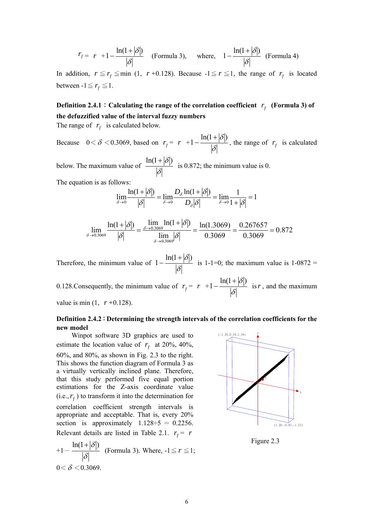$$
r_f = r + 1 - \frac{\ln(1+|\delta|)}{|\delta|}
$$
 (Formula 3), where,  $1 - \frac{\ln(1+|\delta|)}{|\delta|}$  (Formula 4)

In addition,  $r \leq r_f \leq \min(1, r + 0.128)$ . Because  $-1 \leq r \leq 1$ , the range of  $r_f$  is located between  $-1 \le r_f \le 1$ .

## **Definition 2.4.1**: Calculating the range of the correlation coefficient  $r_f$  (Formula 3) of **the defuzzified value of the interval fuzzy numbers**

The range of  $r_f$  is calculated below.

Because  $0 < \delta < 0.3069$ , based on  $r_f = r + 1 - \frac{\ln(1 + |\delta|)}{|\delta|}$ , the range of  $r_f$  is calculated below. The maximum value of  $\frac{m(x)}{|\delta|}$  $ln(1 + |\delta|)$ is 0.872; the minimum value is 0.

The equation is as follows:

$$
\lim_{\delta \to 0} \frac{\ln(1+|\delta|)}{|\delta|} = \lim_{\delta \to 0} \frac{D_{\delta} \ln(1+|\delta|)}{D_{\delta} |\delta|} = \lim_{\delta \to 0} \frac{1}{1+|\delta|} = 1
$$

$$
\lim_{\delta \to 0.3069} \frac{\ln(1+|\delta|)}{|\delta|} = \frac{\lim_{\delta \to 0.3069} \ln(1+|\delta|)}{\lim_{\delta \to 0.3069} |\delta|} = \frac{\ln(1.3069)}{0.3069} = \frac{0.267657}{0.3069} = 0.872
$$

Therefore, the minimum value of  $1 - \frac{\ln(1 + |\delta|)}{|\delta|}$  is 1-1=0; the maximum value is 1-0872 =

0.128. Consequently, the minimum value of  $r_f = r + 1 - \frac{\ln(1 + |\delta|)}{|\delta|}$  is r, and the maximum

## value is min  $(1, r+0.128)$ .

## **Definition 2.4.2**:**Determining the strength intervals of the correlation coefficients for the new model**

Winpot software 3D graphics are used to estimate the location value of  $r_f$  at 20%, 40%, 60%, and 80%, as shown in Fig. 2.3 to the right. This shows the function diagram of Formula 3 as a virtually vertically inclined plane. Therefore, that this study performed five equal portion estimations for the Z-axis coordinate value  $(i.e., r<sub>f</sub>)$  to transform it into the determination for correlation coefficient strength intervals is appropriate and acceptable. That is, every 20% section is approximately  $1.128 \div 5 = 0.2256$ . Relevant details are listed in Table 2.1.  $r_f = r$ 

$$
+1 - \frac{\ln(1+|\delta|)}{|\delta|}
$$
 (Formula 3). Where,  $-1 \le r \le 1$ ;  
  $0 < \delta < 0.3069$ .



Figure 2.3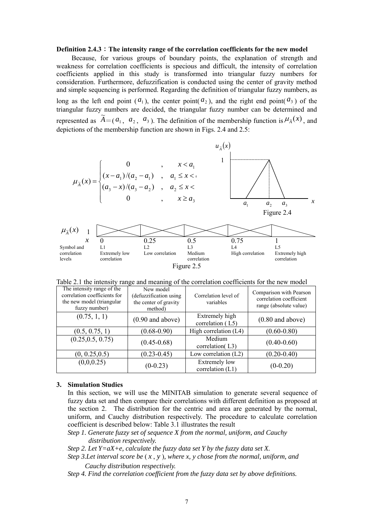#### **Definition 2.4.3**:**The intensity range of the correlation coefficients for the new model**

Because, for various groups of boundary points, the explanation of strength and weakness for correlation coefficients is specious and difficult, the intensity of correlation coefficients applied in this study is transformed into triangular fuzzy numbers for consideration. Furthermore, defuzzification is conducted using the center of gravity method and simple sequencing is performed. Regarding the definition of triangular fuzzy numbers, as

long as the left end point  $(a_1)$ , the center point  $(a_2)$ , and the right end point  $(a_3)$  of the triangular fuzzy numbers are decided, the triangular fuzzy number can be determined and represented as  $\widetilde{A} = (a_1, a_2, a_3)$ . The definition of the membership function is  $\mu_{\widetilde{A}}(x)$ , and depictions of the membership function are shown in Figs. 2.4 and 2.5:



Table 2.1 the intensity range and meaning of the correlation coefficients for the new model

| The intensity range of the<br>correlation coefficients for<br>the new model (triangular<br>fuzzy number) | New model<br>(defuzzification using)<br>the center of gravity<br>method) | Correlation level of<br>variables  | Comparison with Pearson<br>correlation coefficient<br>range (absolute value) |
|----------------------------------------------------------------------------------------------------------|--------------------------------------------------------------------------|------------------------------------|------------------------------------------------------------------------------|
| (0.75, 1, 1)                                                                                             | $(0.90$ and above)                                                       | Extremely high<br>correlation (L5) | $(0.80$ and above)                                                           |
| (0.5, 0.75, 1)                                                                                           | $(0.68 - 0.90)$                                                          | High correlation (L4)              | $(0.60 - 0.80)$                                                              |
| (0.25, 0.5, 0.75)                                                                                        | $(0.45 - 0.68)$                                                          | Medium<br>correlation(L3)          | $(0.40 - 0.60)$                                                              |
| (0, 0.25, 0.5)                                                                                           | $(0.23 - 0.45)$                                                          | Low correlation $(L2)$             | $(0.20 - 0.40)$                                                              |
| (0,0,0.25)                                                                                               | $(0-0.23)$                                                               | Extremely low<br>correlation (L1)  | $(0-0.20)$                                                                   |

## **3. Simulation Studies**

In this section, we will use the MINITAB simulation to generate several sequence of fuzzy data set and then compare their correlations with different definition as proposed at the section 2. The distribution for the centric and area are generated by the normal, uniform, and Cauchy distribution respectively. The procedure to calculate correlation coefficient is described below: Table 3.1 illustrates the result

*Step 1. Generate fuzzy set of sequence X from the normal, uniform, and Cauchy distribution respectively.* 

*Step 2. Let Y=aX+e, calculate the fuzzy data set Y by the fuzzy data set X.* 

*Step 3.Let interval score be* ( *x* , *y* )*, where x, y chose from the normal, uniform, and Cauchy distribution respectively.* 

*Step 4. Find the correlation coefficient from the fuzzy data set by above definitions.*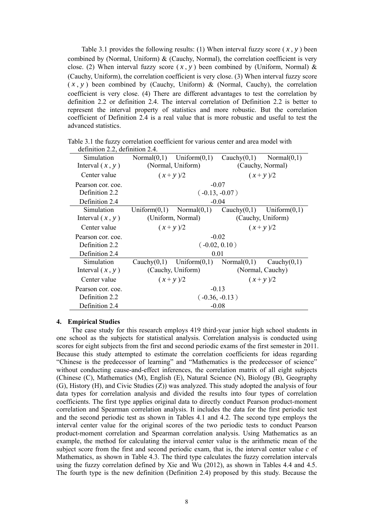Table 3.1 provides the following results: (1) When interval fuzzy score ( *x* , *y* ) been combined by (Normal, Uniform) & (Cauchy, Normal), the correlation coefficient is very close. (2) When interval fuzzy score  $(x, y)$  been combined by (Uniform, Normal) & (Cauchy, Uniform), the correlation coefficient is very close. (3) When interval fuzzy score  $(x, y)$  been combined by (Cauchy, Uniform) & (Normal, Cauchy), the correlation coefficient is very close. (4) There are different advantages to test the correlation by definition 2.2 or definition 2.4. The interval correlation of Definition 2.2 is better to represent the interval property of statistics and more robustic. But the correlation coefficient of Definition 2.4 is a real value that is more robustic and useful to test the advanced statistics.

| definition 2.2, definition 2.4. |                                                  |                   |                   |                  |  |  |  |
|---------------------------------|--------------------------------------------------|-------------------|-------------------|------------------|--|--|--|
| Simulation                      | Uniform $(0,1)$ Cauchy $(0,1)$<br>Normal $(0,1)$ |                   |                   | Normal $(0,1)$   |  |  |  |
| Interval $(x, y)$               |                                                  | (Normal, Uniform) |                   | (Cauchy, Normal) |  |  |  |
| Center value                    |                                                  | $(x+y)/2$         |                   | $(x+y)/2$        |  |  |  |
| Pearson cor. coe.               |                                                  |                   | $-0.07$           |                  |  |  |  |
| Definition 2.2                  |                                                  |                   | $(-0.13, -0.07)$  |                  |  |  |  |
| Definition 2.4                  |                                                  |                   | $-0.04$           |                  |  |  |  |
| Simulation                      | Uniform $(0,1)$                                  | Normal(0,1)       | Cauchy $(0,1)$    | Uniform $(0,1)$  |  |  |  |
| Interval $(x, y)$               |                                                  | (Uniform, Normal) | (Cauchy, Uniform) |                  |  |  |  |
| Center value                    |                                                  | $(x+y)/2$         | $(x+y)/2$         |                  |  |  |  |
| Pearson cor. coe.               |                                                  |                   | $-0.02$           |                  |  |  |  |
| Definition 2.2                  |                                                  |                   | $(-0.02, 0.10)$   |                  |  |  |  |
| Definition 2.4                  |                                                  |                   | 0.01              |                  |  |  |  |
| Simulation                      | Cauchy $(0,1)$                                   | Uniform $(0,1)$   | Normal $(0,1)$    | Cauchy $(0,1)$   |  |  |  |
| Interval $(x, y)$               |                                                  | (Cauchy, Uniform) |                   | (Normal, Cauchy) |  |  |  |
| Center value                    |                                                  | $(x+y)/2$         |                   | $(x+y)/2$        |  |  |  |
| Pearson cor. coe.               |                                                  |                   | $-0.13$           |                  |  |  |  |
| Definition 2.2                  |                                                  |                   | $(-0.36, -0.13)$  |                  |  |  |  |
| Definition 2.4                  |                                                  | $-0.08$           |                   |                  |  |  |  |

Table 3.1 the fuzzy correlation coefficient for various center and area model with

#### **4. Empirical Studies**

The case study for this research employs 419 third-year junior high school students in one school as the subjects for statistical analysis. Correlation analysis is conducted using scores for eight subjects from the first and second periodic exams of the first semester in 2011. Because this study attempted to estimate the correlation coefficients for ideas regarding "Chinese is the predecessor of learning" and "Mathematics is the predecessor of science" without conducting cause-and-effect inferences, the correlation matrix of all eight subjects (Chinese (C), Mathematics (M), English (E), Natural Science (N), Biology (B), Geography (G), History (H), and Civic Studies (Z)) was analyzed. This study adopted the analysis of four data types for correlation analysis and divided the results into four types of correlation coefficients. The first type applies original data to directly conduct Pearson product-moment correlation and Spearman correlation analysis. It includes the data for the first periodic test and the second periodic test as shown in Tables 4.1 and 4.2. The second type employs the interval center value for the original scores of the two periodic tests to conduct Pearson product-moment correlation and Spearman correlation analysis. Using Mathematics as an example, the method for calculating the interval center value is the arithmetic mean of the subject score from the first and second periodic exam, that is, the interval center value *c* of Mathematics, as shown in Table 4.3. The third type calculates the fuzzy correlation intervals using the fuzzy correlation defined by Xie and Wu (2012), as shown in Tables 4.4 and 4.5. The fourth type is the new definition (Definition 2.4) proposed by this study. Because the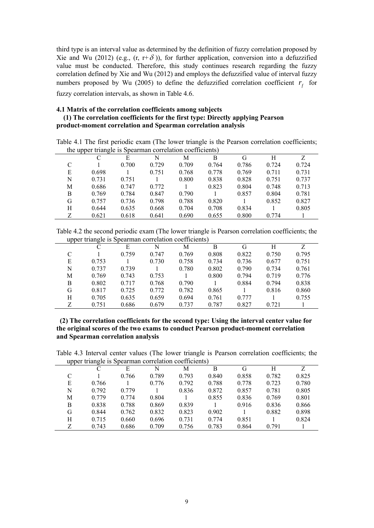third type is an interval value as determined by the definition of fuzzy correlation proposed by Xie and Wu (2012) (e.g.,  $(r, r+\delta)$ ), for further application, conversion into a defuzzified value must be conducted. Therefore, this study continues research regarding the fuzzy correlation defined by Xie and Wu (2012) and employs the defuzzified value of interval fuzzy numbers proposed by Wu (2005) to define the defuzzified correlation coefficient  $r<sub>f</sub>$  for fuzzy correlation intervals, as shown in Table 4.6.

## **4.1 Matrix of the correlation coefficients among subjects**

## **(1) The correlation coefficients for the first type: Directly applying Pearson product-moment correlation and Spearman correlation analysis**

| the upper triangle is spearing correlation coefficients) |       |       |       |       |       |       |       |       |
|----------------------------------------------------------|-------|-------|-------|-------|-------|-------|-------|-------|
|                                                          |       | Е     | N     | M     | B     | G     | Н     | Z     |
| C                                                        |       | 0.700 | 0.729 | 0.709 | 0.764 | 0.786 | 0.724 | 0.724 |
| E                                                        | 0.698 |       | 0.751 | 0.768 | 0.778 | 0.769 | 0.711 | 0.731 |
| N                                                        | 0.731 | 0.751 |       | 0.800 | 0.838 | 0.828 | 0.751 | 0.737 |
| М                                                        | 0.686 | 0.747 | 0.772 |       | 0.823 | 0.804 | 0.748 | 0.713 |
| B                                                        | 0.769 | 0.784 | 0.847 | 0.790 |       | 0.857 | 0.804 | 0.781 |
| G                                                        | 0.757 | 0.736 | 0.798 | 0.788 | 0.820 |       | 0.852 | 0.827 |
| H                                                        | 0.644 | 0.635 | 0.668 | 0.704 | 0.708 | 0.834 |       | 0.805 |
| Z                                                        | 0.621 | 0.618 | 0.641 | 0.690 | 0.655 | 0.800 | 0.774 |       |

Table 4.1 The first periodic exam (The lower triangle is the Pearson correlation coefficients; the upper triangle is Spearman correlation coefficients)

Table 4.2 the second periodic exam (The lower triangle is Pearson correlation coefficients; the upper triangle is Spearman correlation coefficients)

| . . | ັ     |       |       |       |       |       |       |       |
|-----|-------|-------|-------|-------|-------|-------|-------|-------|
|     |       | Е     | N     | M     | B     | G     | H     |       |
| C   |       | 0.759 | 0.747 | 0.769 | 0.808 | 0.822 | 0.750 | 0.795 |
| E   | 0.753 |       | 0.730 | 0.758 | 0.734 | 0.736 | 0.677 | 0.751 |
| N   | 0.737 | 0.739 |       | 0.780 | 0.802 | 0.790 | 0.734 | 0.761 |
| M   | 0.769 | 0.743 | 0.753 |       | 0.800 | 0.794 | 0.719 | 0.776 |
| B   | 0.802 | 0.717 | 0.768 | 0.790 |       | 0.884 | 0.794 | 0.838 |
| G   | 0.817 | 0.725 | 0.772 | 0.782 | 0.865 |       | 0.816 | 0.860 |
| Н   | 0.705 | 0.635 | 0.659 | 0.694 | 0.761 | 0.777 |       | 0.755 |
| Z   | 0.751 | 0.686 | 0.679 | 0.737 | 0.787 | 0.827 | 0.721 |       |

 **(2) The correlation coefficients for the second type: Using the interval center value for the original scores of the two exams to conduct Pearson product-moment correlation and Spearman correlation analysis** 

Table 4.3 Interval center values (The lower triangle is Pearson correlation coefficients; the upper triangle is Spearman correlation coefficients)

|   | $\mu$ apper triangle is operating correlation coefficients, |       |       |       |       |       |       |       |
|---|-------------------------------------------------------------|-------|-------|-------|-------|-------|-------|-------|
|   |                                                             | Е     | N     | M     | В     | G     | H     | Z     |
| C |                                                             | 0.766 | 0.789 | 0.793 | 0.840 | 0.858 | 0.782 | 0.825 |
| E | 0.766                                                       |       | 0.776 | 0.792 | 0.788 | 0.778 | 0.723 | 0.780 |
| N | 0.792                                                       | 0.779 |       | 0.836 | 0.872 | 0.857 | 0.781 | 0.805 |
| М | 0.779                                                       | 0.774 | 0.804 |       | 0.855 | 0.836 | 0.769 | 0.801 |
| B | 0.838                                                       | 0.788 | 0.869 | 0.839 |       | 0.916 | 0.836 | 0.866 |
| G | 0.844                                                       | 0.762 | 0.832 | 0.823 | 0.902 |       | 0.882 | 0.898 |
| H | 0.715                                                       | 0.660 | 0.696 | 0.731 | 0.774 | 0.851 |       | 0.824 |
| Z | 0.743                                                       | 0.686 | 0.709 | 0.756 | 0.783 | 0.864 | 0.791 |       |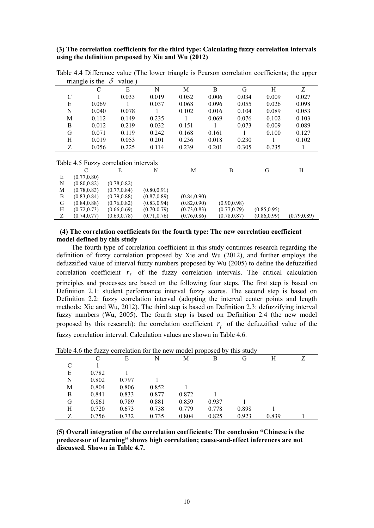## **(3) The correlation coefficients for the third type: Calculating fuzzy correlation intervals using the definition proposed by Xie and Wu (2012)**

|   | triangle is the                       | $\partial$<br>value.) |              |       |       |       |       |       |
|---|---------------------------------------|-----------------------|--------------|-------|-------|-------|-------|-------|
|   | C                                     | E                     | N            | M     | B     | G     | H     | Z     |
| C |                                       | 0.033                 | 0.019        | 0.052 | 0.006 | 0.034 | 0.009 | 0.027 |
| E | 0.069                                 |                       | 0.037        | 0.068 | 0.096 | 0.055 | 0.026 | 0.098 |
| N | 0.040                                 | 0.078                 |              | 0.102 | 0.016 | 0.104 | 0.089 | 0.053 |
| М | 0.112                                 | 0.149                 | 0.235        |       | 0.069 | 0.076 | 0.102 | 0.103 |
| B | 0.012                                 | 0.219                 | 0.032        | 0.151 |       | 0.073 | 0.009 | 0.089 |
| G | 0.071                                 | 0.119                 | 0.242        | 0.168 | 0.161 |       | 0.100 | 0.127 |
| H | 0.019                                 | 0.053                 | 0.201        | 0.236 | 0.018 | 0.230 |       | 0.102 |
| Ζ | 0.056                                 | 0.225                 | 0.114        | 0.239 | 0.201 | 0.305 | 0.235 |       |
|   |                                       |                       |              |       |       |       |       |       |
|   | Table 4.5 Fuzzy correlation intervals |                       |              |       |       |       |       |       |
|   | C                                     | E                     | N            | M     |       | B     | G     | H     |
| E | (0.77, 0.80)                          |                       |              |       |       |       |       |       |
| N | (0.80, 0.82)                          | (0.78, 0.82)          |              |       |       |       |       |       |
| M | (0.78, 0.83)                          | (0.77, 0.84)          | (0.80, 0.91) |       |       |       |       |       |

Table 4.4 Difference value (The lower triangle is Pearson correlation coefficients; the upper triangle is the  $\delta$  value.)

## **(4) The correlation coefficients for the fourth type: The new correlation coefficient model defined by this study**

Z (0.74,0.77) (0.69,0.78) (0.71,0.76) (0.76,0.86) (0.78,0.87) (0.86,0.99) (0.79,0.89)

H (0.72,0.73) (0.66,0.69) (0.70,0.79) (0.73,0.83) (0.77,0.79) (0.85,0.95)

The fourth type of correlation coefficient in this study continues research regarding the definition of fuzzy correlation proposed by Xie and Wu (2012), and further employs the defuzzified value of interval fuzzy numbers proposed by Wu (2005) to define the defuzzified correlation coefficient  $r<sub>f</sub>$  of the fuzzy correlation intervals. The critical calculation principles and processes are based on the following four steps. The first step is based on Definition 2.1: student performance interval fuzzy scores. The second step is based on Definition 2.2: fuzzy correlation interval (adopting the interval center points and length methods; Xie and Wu, 2012). The third step is based on Definition 2.3: defuzzifying interval fuzzy numbers (Wu, 2005). The fourth step is based on Definition 2.4 (the new model proposed by this research): the correlation coefficient  $r_f$  of the defuzzified value of the fuzzy correlation interval. Calculation values are shown in Table 4.6.

|   | Twore i.o the radary correlation for the new moder proposed by |       |       |       |       | umo otau |       |  |
|---|----------------------------------------------------------------|-------|-------|-------|-------|----------|-------|--|
|   |                                                                | E     | N     | М     | В     | G        | Н     |  |
|   |                                                                |       |       |       |       |          |       |  |
| E | 0.782                                                          |       |       |       |       |          |       |  |
| N | 0.802                                                          | 0.797 |       |       |       |          |       |  |
| M | 0.804                                                          | 0.806 | 0.852 |       |       |          |       |  |
| B | 0.841                                                          | 0.833 | 0.877 | 0.872 |       |          |       |  |
| G | 0.861                                                          | 0.789 | 0.881 | 0.859 | 0.937 |          |       |  |
| Н | 0.720                                                          | 0.673 | 0.738 | 0.779 | 0.778 | 0.898    |       |  |
|   | 0.756                                                          | 0.732 | 0.735 | 0.804 | 0.825 | 0.923    | 0.839 |  |

| Table 4.6 the fuzzy correlation for the new model proposed by this study |  |  |  |
|--------------------------------------------------------------------------|--|--|--|
|                                                                          |  |  |  |
|                                                                          |  |  |  |

B (0.83,0.84) (0.79,0.88) (0.87,0.89) (0.84,0.90)

G  $(0.84,0.88)$   $(0.76,0.82)$   $(0.83,0.94)$   $(0.82,0.90)$   $(0.90,0.98)$ <br>H  $(0.72,0.73)$   $(0.66,0.69)$   $(0.70,0.79)$   $(0.73,0.83)$   $(0.77,0.79)$ 

**(5) Overall integration of the correlation coefficients: The conclusion "Chinese is the predecessor of learning" shows high correlation; cause-and-effect inferences are not discussed. Shown in Table 4.7.**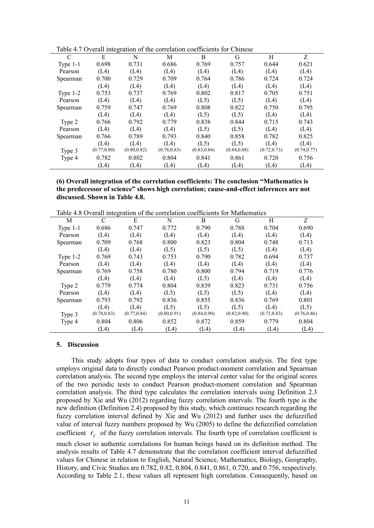| $\mathcal{C}$ | E            | N            | М            | B            | G            | H            | Z            |
|---------------|--------------|--------------|--------------|--------------|--------------|--------------|--------------|
| Type $1-1$    | 0.698        | 0.731        | 0.686        | 0.769        | 0.757        | 0.644        | 0.621        |
| Pearson       | (L4)         | (L4)         | (L4)         | (L4)         | (L4)         | (L4)         | (L4)         |
| Spearman      | 0.700        | 0.729        | 0.709        | 0.764        | 0.786        | 0.724        | 0.724        |
|               | (L4)         | (L4)         | (L4)         | (L4)         | (L4)         | (L4)         | (L4)         |
| Type $1-2$    | 0.753        | 0.737        | 0.769        | 0.802        | 0.817        | 0.705        | 0.751        |
| Pearson       | (L4)         | (L4)         | (L4)         | (L5)         | (L5)         | (L4)         | (L4)         |
| Spearman      | 0.759        | 0.747        | 0.769        | 0.808        | 0.822        | 0.750        | 0.795        |
|               | (L4)         | (L4)         | (L4)         | (L5)         | (L5)         | (L4)         | (L4)         |
| Type 2        | 0.766        | 0.792        | 0.779        | 0.838        | 0.844        | 0.715        | 0.743        |
| Pearson       | (L4)         | (L4)         | (L4)         | (L5)         | (L5)         | (L4)         | (L4)         |
| Spearman      | 0.766        | 0.789        | 0.793        | 0.840        | 0.858        | 0.782        | 0.825        |
|               | (L4)         | (L4)         | (L4)         | (L5)         | (L5)         | (L4)         | (L4)         |
| Type 3        | (0.77, 0.80) | (0.80, 0.82) | (0.78, 0.83) | (0.83, 0.84) | (0.84, 0.88) | (0.72, 0.73) | (0.74, 0.77) |
| Type 4        | 0.782        | 0.802        | 0.804        | 0.841        | 0.861        | 0.720        | 0.756        |
|               | (L4)         | (L4)         | (L4)         | (L4)         | (L4)         | (L4)         | (L4)         |

## **(6) Overall integration of the correlation coefficients: The conclusion "Mathematics is the predecessor of science" shows high correlation; cause-and-effect inferences are not discussed. Shown in Table 4.8.**

Table 4.8 Overall integration of the correlation coefficients for Mathematics

|            | 1401         |              |              |              |              |              |              |
|------------|--------------|--------------|--------------|--------------|--------------|--------------|--------------|
| М          | C            | E            | N            | B            | G            | H            | Ζ            |
| Type $1-1$ | 0.686        | 0.747        | 0.772        | 0.790        | 0.788        | 0.704        | 0.690        |
| Pearson    | (L4)         | (L4)         | (L4)         | (L4)         | (L4)         | (L4)         | (L4)         |
| Spearman   | 0.709        | 0.768        | 0.800        | 0.823        | 0.804        | 0.748        | 0.713        |
|            | (L4)         | (L4)         | (L5)         | (L5)         | (L5)         | (L4)         | (L4)         |
| Type $1-2$ | 0.769        | 0.743        | 0.753        | 0.790        | 0.782        | 0.694        | 0.737        |
| Pearson    | (L4)         | (L4)         | (L4)         | (L4)         | (L4)         | (L4)         | (L4)         |
| Spearman   | 0.769        | 0.758        | 0.780        | 0.800        | 0.794        | 0.719        | 0.776        |
|            | (L4)         | (L4)         | (L4)         | (L5)         | (L4)         | (L4)         | (L4)         |
| Type 2     | 0.779        | 0.774        | 0.804        | 0.839        | 0.823        | 0.731        | 0.756        |
| Pearson    | (L4)         | (L4)         | (L5)         | (L5)         | (L5)         | (L4)         | (L4)         |
| Spearman   | 0.793        | 0.792        | 0.836        | 0.855        | 0.836        | 0.769        | 0.801        |
|            | (L4)         | (L4)         | (L5)         | (L5)         | (L5)         | (L4)         | (L5)         |
| Type 3     | (0.78, 0.83) | (0.77, 0.84) | (0.80, 0.91) | (0.84, 0.90) | (0.82, 0.90) | (0.73, 0.83) | (0.76, 0.86) |
| Type 4     | 0.804        | 0.806        | 0.852        | 0.872        | 0.859        | 0.779        | 0.804        |
|            | (L4)         | (L4)         | (L4)         | (L4)         | (L4)         | (L4)         | (L4)         |

#### **5. Discussion**

This study adopts four types of data to conduct correlation analysis. The first type employs original data to directly conduct Pearson product-moment correlation and Spearman correlation analysis. The second type employs the interval center value for the original scores of the two periodic tests to conduct Pearson product-moment correlation and Spearman correlation analysis. The third type calculates the correlation intervals using Definition 2.3 proposed by Xie and Wu (2012) regarding fuzzy correlation intervals. The fourth type is the new definition (Definition 2.4) proposed by this study, which continues research regarding the fuzzy correlation interval defined by Xie and Wu (2012) and further uses the defuzzified value of interval fuzzy numbers proposed by Wu (2005) to define the defuzzified correlation coefficient  $r_f$  of the fuzzy correlation intervals. The fourth type of correlation coefficient is much closer to authentic correlations for human beings based on its definition method. The analysis results of Table 4.7 demonstrate that the correlation coefficient interval defuzzified values for Chinese in relation to English, Natural Science, Mathematics, Biology, Geography, History, and Civic Studies are 0.782, 0.82, 0.804, 0.841, 0.861, 0.720, and 0.756, respectively. According to Table 2.1, these values all represent high correlation. Consequently, based on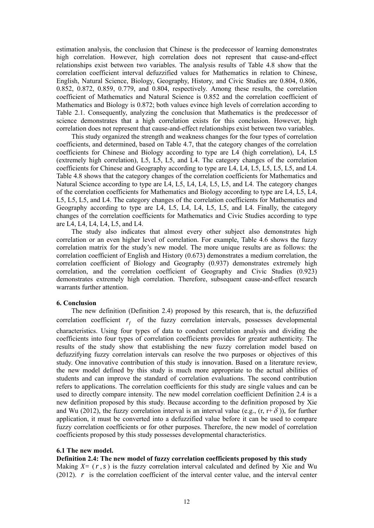estimation analysis, the conclusion that Chinese is the predecessor of learning demonstrates high correlation. However, high correlation does not represent that cause-and-effect relationships exist between two variables. The analysis results of Table 4.8 show that the correlation coefficient interval defuzzified values for Mathematics in relation to Chinese, English, Natural Science, Biology, Geography, History, and Civic Studies are 0.804, 0.806, 0.852, 0.872, 0.859, 0.779, and 0.804, respectively. Among these results, the correlation coefficient of Mathematics and Natural Science is 0.852 and the correlation coefficient of Mathematics and Biology is 0.872; both values evince high levels of correlation according to Table 2.1. Consequently, analyzing the conclusion that Mathematics is the predecessor of science demonstrates that a high correlation exists for this conclusion. However, high correlation does not represent that cause-and-effect relationships exist between two variables.

This study organized the strength and weakness changes for the four types of correlation coefficients, and determined, based on Table 4.7, that the category changes of the correlation coefficients for Chinese and Biology according to type are L4 (high correlation), L4, L5 (extremely high correlation), L5, L5, L5, and L4. The category changes of the correlation coefficients for Chinese and Geography according to type are L4, L4, L5, L5, L5, L5, and L4. Table 4.8 shows that the category changes of the correlation coefficients for Mathematics and Natural Science according to type are L4, L5, L4, L4, L5, L5, and L4. The category changes of the correlation coefficients for Mathematics and Biology according to type are L4, L5, L4, L5, L5, L5, and L4. The category changes of the correlation coefficients for Mathematics and Geography according to type are L4, L5, L4, L4, L5, L5, and L4. Finally, the category changes of the correlation coefficients for Mathematics and Civic Studies according to type are L4, L4, L4, L4, L5, and L4.

The study also indicates that almost every other subject also demonstrates high correlation or an even higher level of correlation. For example, Table 4.6 shows the fuzzy correlation matrix for the study's new model. The more unique results are as follows: the correlation coefficient of English and History (0.673) demonstrates a medium correlation, the correlation coefficient of Biology and Geography (0.937) demonstrates extremely high correlation, and the correlation coefficient of Geography and Civic Studies (0.923) demonstrates extremely high correlation. Therefore, subsequent cause-and-effect research warrants further attention.

### **6. Conclusion**

The new definition (Definition 2.4) proposed by this research, that is, the defuzzified correlation coefficient  $r_f$  of the fuzzy correlation intervals, possesses developmental characteristics. Using four types of data to conduct correlation analysis and dividing the coefficients into four types of correlation coefficients provides for greater authenticity. The results of the study show that establishing the new fuzzy correlation model based on defuzzifying fuzzy correlation intervals can resolve the two purposes or objectives of this study. One innovative contribution of this study is innovation. Based on a literature review, the new model defined by this study is much more appropriate to the actual abilities of students and can improve the standard of correlation evaluations. The second contribution refers to applications. The correlation coefficients for this study are single values and can be used to directly compare intensity. The new model correlation coefficient Definition 2.4 is a new definition proposed by this study. Because according to the definition proposed by Xie and Wu (2012), the fuzzy correlation interval is an interval value (e.g.,  $(r, r+\delta)$ ), for further application, it must be converted into a defuzzified value before it can be used to compare fuzzy correlation coefficients or for other purposes. Therefore, the new model of correlation coefficients proposed by this study possesses developmental characteristics.

## **6.1 The new model.**

**Definition 2.4: The new model of fuzzy correlation coefficients proposed by this study** 

Making  $X=(r, s)$  is the fuzzy correlation interval calculated and defined by Xie and Wu (2012). *r* is the correlation coefficient of the interval center value, and the interval center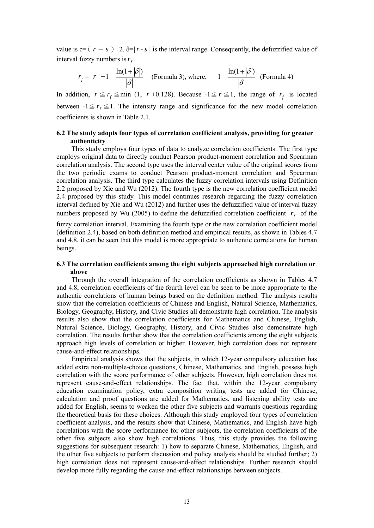value is  $c = (r + s) \div 2$ .  $\delta = |r - s|$  is the interval range. Consequently, the defuzzified value of interval fuzzy numbers is  $r_f$ .

$$
r_f = r + 1 - \frac{\ln(1+|\delta|)}{|\delta|}
$$
 (Formula 3), where,  $1 - \frac{\ln(1+|\delta|)}{|\delta|}$  (Formula 4)

In addition,  $r \leq r_f \leq \min(1, r + 0.128)$ . Because  $-1 \leq r \leq 1$ , the range of  $r_f$  is located between  $-1 \le r_f \le 1$ . The intensity range and significance for the new model correlation coefficients is shown in Table 2.1.

## **6.2 The study adopts four types of correlation coefficient analysis, providing for greater authenticity**

This study employs four types of data to analyze correlation coefficients. The first type employs original data to directly conduct Pearson product-moment correlation and Spearman correlation analysis. The second type uses the interval center value of the original scores from the two periodic exams to conduct Pearson product-moment correlation and Spearman correlation analysis. The third type calculates the fuzzy correlation intervals using Definition 2.2 proposed by Xie and Wu (2012). The fourth type is the new correlation coefficient model 2.4 proposed by this study. This model continues research regarding the fuzzy correlation interval defined by Xie and Wu (2012) and further uses the defuzzified value of interval fuzzy numbers proposed by Wu (2005) to define the defuzzified correlation coefficient  $r_f$  of the

fuzzy correlation interval. Examining the fourth type or the new correlation coefficient model (definition 2.4), based on both definition method and empirical results, as shown in Tables 4.7 and 4.8, it can be seen that this model is more appropriate to authentic correlations for human beings.

## **6.3 The correlation coefficients among the eight subjects approached high correlation or above**

Through the overall integration of the correlation coefficients as shown in Tables 4.7 and 4.8, correlation coefficients of the fourth level can be seen to be more appropriate to the authentic correlations of human beings based on the definition method. The analysis results show that the correlation coefficients of Chinese and English, Natural Science, Mathematics, Biology, Geography, History, and Civic Studies all demonstrate high correlation. The analysis results also show that the correlation coefficients for Mathematics and Chinese, English, Natural Science, Biology, Geography, History, and Civic Studies also demonstrate high correlation. The results further show that the correlation coefficients among the eight subjects approach high levels of correlation or higher. However, high correlation does not represent cause-and-effect relationships.

Empirical analysis shows that the subjects, in which 12-year compulsory education has added extra non-multiple-choice questions, Chinese, Mathematics, and English, possess high correlation with the score performance of other subjects. However, high correlation does not represent cause-and-effect relationships. The fact that, within the 12-year compulsory education examination policy, extra composition writing tests are added for Chinese, calculation and proof questions are added for Mathematics, and listening ability tests are added for English, seems to weaken the other five subjects and warrants questions regarding the theoretical basis for these choices. Although this study employed four types of correlation coefficient analysis, and the results show that Chinese, Mathematics, and English have high correlations with the score performance for other subjects, the correlation coefficients of the other five subjects also show high correlations. Thus, this study provides the following suggestions for subsequent research: 1) how to separate Chinese, Mathematics, English, and the other five subjects to perform discussion and policy analysis should be studied further; 2) high correlation does not represent cause-and-effect relationships. Further research should develop more fully regarding the cause-and-effect relationships between subjects.